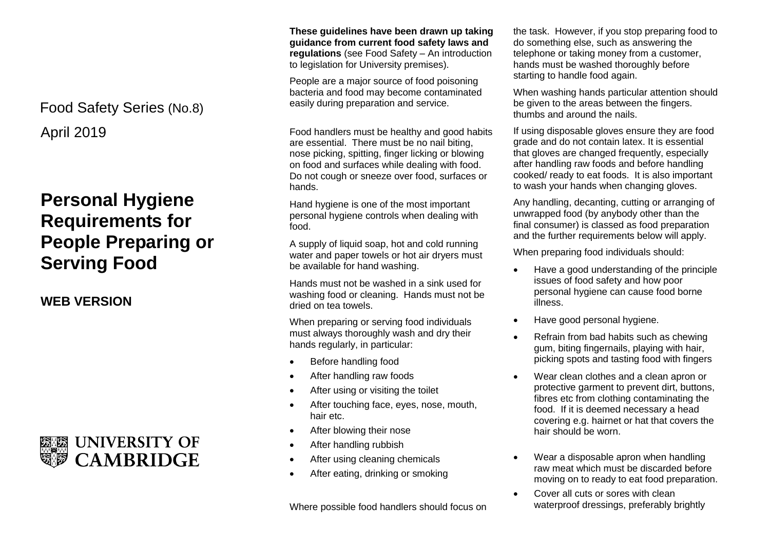April 2019 Food Safety Series (No.8)

## **Personal Hygiene Requirements for People Preparing or Serving Food**

**WEB VERSION**



**These guidelines have been drawn up taking guidance from current food safety laws and regulations** (see Food Safety – An introduction to legislation for University premises).

People are a major source of food poisoning bacteria and food may become contaminated easily during preparation and service.

Food handlers must be healthy and good habits are essential. There must be no nail biting, nose picking, spitting, finger licking or blowing on food and surfaces while dealing with food. Do not cough or sneeze over food, surfaces or hands.

Hand hygiene is one of the most important personal hygiene controls when dealing with food.

A supply of liquid soap, hot and cold running water and paper towels or hot air dryers must be available for hand washing.

Hands must not be washed in a sink used for washing food or cleaning. Hands must not be dried on tea towels.

When preparing or serving food individuals must always thoroughly wash and dry their hands regularly, in particular:

- Before handling food
- After handling raw foods
- After using or visiting the toilet
- After touching face, eyes, nose, mouth, hair etc.
- After blowing their nose
- After handling rubbish
- After using cleaning chemicals
- After eating, drinking or smoking

Where possible food handlers should focus on

the task. However, if you stop preparing food to do something else, such as answering the telephone or taking money from a customer, hands must be washed thoroughly before starting to handle food again.

When washing hands particular attention should be given to the areas between the fingers. thumbs and around the nails.

If using disposable gloves ensure they are food grade and do not contain latex. It is essential that gloves are changed frequently, especially after handling raw foods and before handling cooked/ ready to eat foods. It is also important to wash your hands when changing gloves.

Any handling, decanting, cutting or arranging of unwrapped food (by anybody other than the final consumer) is classed as food preparation and the further requirements below will apply.

When preparing food individuals should:

- Have a good understanding of the principle issues of food safety and how poor personal hygiene can cause food borne illness.
- Have good personal hygiene.
- Refrain from bad habits such as chewing gum, biting fingernails, playing with hair, picking spots and tasting food with fingers
- Wear clean clothes and a clean apron or protective garment to prevent dirt, buttons, fibres etc from clothing contaminating the food. If it is deemed necessary a head covering e.g. hairnet or hat that covers the hair should be worn.
- Wear a disposable apron when handling raw meat which must be discarded before moving on to ready to eat food preparation.
- Cover all cuts or sores with clean waterproof dressings, preferably brightly